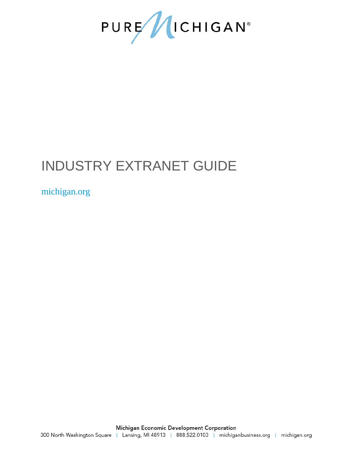

# INDUSTRY EXTRANET GUIDE

## michigan.org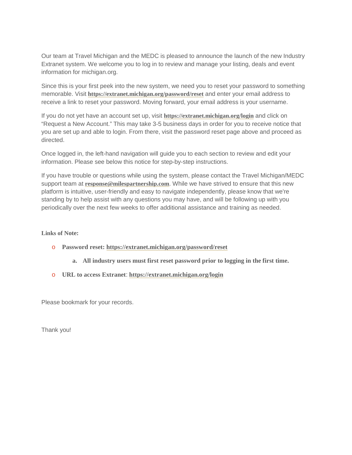Our team at Travel Michigan and the MEDC is pleased to announce the launch of the new Industry Extranet system. We welcome you to log in to review and manage your listing, deals and event information for michigan.org.

Since this is your first peek into the new system, we need you to reset your password to something memorable. Visit **<https://extranet.michigan.org/password/reset>** and enter your email address to receive a link to reset your password. Moving forward, your email address is your username.

If you do not yet have an account set up, visit **<https://extranet.michigan.org/login>** and click on "Request a New Account." This may take 3-5 business days in order for you to receive notice that you are set up and able to login. From there, visit the password reset page above and proceed as directed.

Once logged in, the left-hand navigation will guide you to each section to review and edit your information. Please see below this notice for step-by-step instructions.

If you have trouble or questions while using the system, please contact the Travel Michigan/MEDC support team at **[response@milespartnership.com](mailto:response@milespartnership.com)**. While we have strived to ensure that this new platform is intuitive, user-friendly and easy to navigate independently, please know that we're standing by to help assist with any questions you may have, and will be following up with you periodically over the next few weeks to offer additional assistance and training as needed.

**Links of Note:**

- o **Password reset:<https://extranet.michigan.org/password/reset>**
	- **a. All industry users must first reset password prior to logging in the first time.**
- o **URL to access Extranet**: **<https://extranet.michigan.org/login>**

Please bookmark for your records.

Thank you!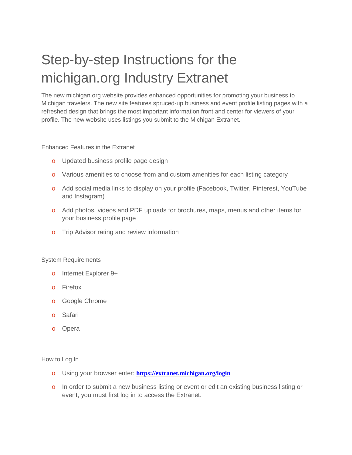# Step-by-step Instructions for the michigan.org Industry Extranet

The new michigan.org website provides enhanced opportunities for promoting your business to Michigan travelers. The new site features spruced-up business and event profile listing pages with a refreshed design that brings the most important information front and center for viewers of your profile. The new website uses listings you submit to the Michigan Extranet.

Enhanced Features in the Extranet

- o Updated business profile page design
- o Various amenities to choose from and custom amenities for each listing category
- o Add social media links to display on your profile (Facebook, Twitter, Pinterest, YouTube and Instagram)
- o Add photos, videos and PDF uploads for brochures, maps, menus and other items for your business profile page
- o Trip Advisor rating and review information

#### System Requirements

- o Internet Explorer 9+
- o Firefox
- o Google Chrome
- o Safari
- o Opera

#### How to Log In

- o Using your browser enter: **<https://extranet.michigan.org/login>**
- o In order to submit a new business listing or event or edit an existing business listing or event, you must first log in to access the Extranet.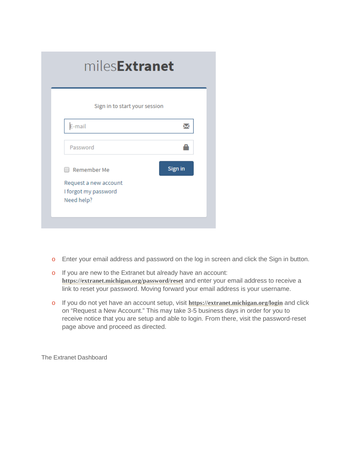| Sign in to start your session                                              |         |
|----------------------------------------------------------------------------|---------|
| E-mail                                                                     |         |
| Password                                                                   |         |
| Remember Me<br>Request a new account<br>I forgot my password<br>Need help? | Sign in |

- o Enter your email address and password on the log in screen and click the Sign in button.
- o If you are new to the Extranet but already have an account: **<https://extranet.michigan.org/password/reset>** and enter your email address to receive a link to reset your password. Moving forward your email address is your username.
- o If you do not yet have an account setup, visit **<https://extranet.michigan.org/login>** and click on "Request a New Account." This may take 3-5 business days in order for you to receive notice that you are setup and able to login. From there, visit the password-reset page above and proceed as directed.

The Extranet Dashboard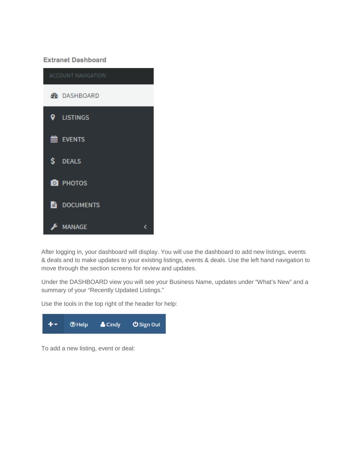### **Extranet Dashboard**



After logging in, your dashboard will display. You will use the dashboard to add new listings, events & deals and to make updates to your existing listings, events & deals. Use the left hand navigation to move through the section screens for review and updates.

Under the DASHBOARD view you will see your Business Name, updates under "What's New" and a summary of your "Recently Updated Listings."

Use the tools in the top right of the header for help:



To add a new listing, event or deal: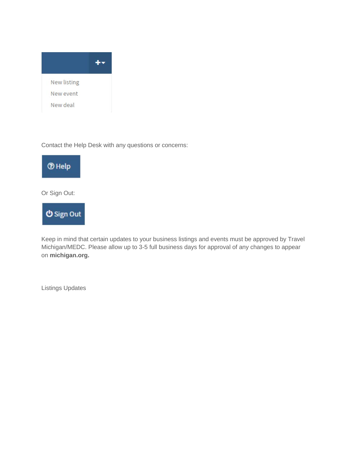

Contact the Help Desk with any questions or concerns:



Or Sign Out:



Keep in mind that certain updates to your business listings and events must be approved by Travel Michigan/MEDC. Please allow up to 3-5 full business days for approval of any changes to appear on **[michigan.org.](http://www.travelwyoming.com/)**

Listings Updates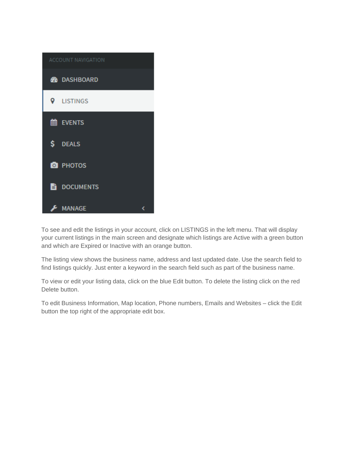

To see and edit the listings in your account, click on LISTINGS in the left menu. That will display your current listings in the main screen and designate which listings are Active with a green button and which are Expired or Inactive with an orange button.

The listing view shows the business name, address and last updated date. Use the search field to find listings quickly. Just enter a keyword in the search field such as part of the business name.

To view or edit your listing data, click on the blue Edit button. To delete the listing click on the red Delete button.

To edit Business Information, Map location, Phone numbers, Emails and Websites – click the Edit button the top right of the appropriate edit box.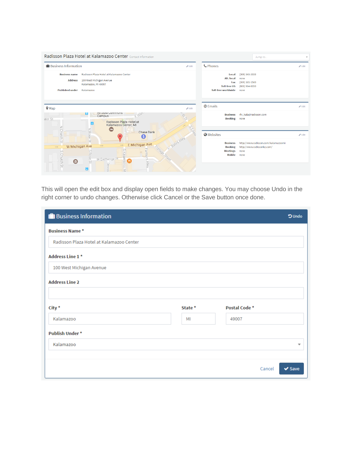|                                                                           | Radisson Plaza Hotel at Kalamazoo Center Contact Information                                                                                                                                                                                                                                                                                 |                                                                                            | Jump to                                                                           |                   |
|---------------------------------------------------------------------------|----------------------------------------------------------------------------------------------------------------------------------------------------------------------------------------------------------------------------------------------------------------------------------------------------------------------------------------------|--------------------------------------------------------------------------------------------|-----------------------------------------------------------------------------------|-------------------|
| <b>ID</b> Business Information                                            | $\mathscr P$ Edit                                                                                                                                                                                                                                                                                                                            | <b>C</b> Phones                                                                            |                                                                                   | $\mathscr P$ Edit |
| <b>Business name</b><br><b>Address</b><br><b>Published under</b>          | Radisson Plaza Hotel at Kalamazoo Center<br>100 West Michigan Avenue<br>Kalamazoo, MI 49007<br>Kalamazoo                                                                                                                                                                                                                                     | Local<br>Alt. local<br>Fax<br><b>Toll-free US</b><br><b>Toll-free worldwide</b>            | (269) 343-3333<br>none<br>$(269)$ 381-1560<br>(800) 964-0350<br>none              |                   |
| $Q$ Map<br>ater St                                                        | $\triangle$ Edit<br><b>AICAUR COMMONS</b><br><b>PP</b><br>ы<br>EWall<br>Campus<br>w.<br>Radisson Plaza Hotel at<br>п<br>Kalamazoo Center, MI                                                                                                                                                                                                 | @ Emails<br><b>Business</b><br><b>Booking</b>                                              | rhi_kala@radisson.com<br>none                                                     | $P$ Edit          |
| N Church S<br>$\longrightarrow$<br>$\circ$<br>Church St<br>$\blacksquare$ | $\mathcal{O}$<br>FOND.<br>jш<br>z<br>Rose<br><b>Chase Bank</b><br>G<br>Bates Alley<br>$\mathcal{Q}$<br>E Michigan Ave<br>and the<br>W Michigan Ave<br>$\longrightarrow$<br>ortage<br>Farmers<br>$\circ$<br>$\circ$<br>Kala<br>Rose<br>Street<br>W Exchange PI<br>mazoo<br>(भ<br>$\overline{\omega}$<br><b>Alley</b><br>Deviss<br>Θ<br>$\leq$ | <b>O</b> Websites<br><b>Business</b><br><b>Booking</b><br><b>Meetings</b><br><b>Mobile</b> | http://www.radisson.com/kalamazoomi<br>http://www.radissonkz.com/<br>none<br>none | $P$ Edit          |

This will open the edit box and display open fields to make changes. You may choose Undo in the right corner to undo changes. Otherwise click Cancel or the Save button once done.

| <b>D</b> Business Information            |         |               | <b>OUndo</b>                         |
|------------------------------------------|---------|---------------|--------------------------------------|
| <b>Business Name*</b>                    |         |               |                                      |
| Radisson Plaza Hotel at Kalamazoo Center |         |               |                                      |
| Address Line 1*                          |         |               |                                      |
| 100 West Michigan Avenue                 |         |               |                                      |
| <b>Address Line 2</b>                    |         |               |                                      |
|                                          |         |               |                                      |
| City *                                   | State * | Postal Code * |                                      |
| Kalamazoo                                | MI      | 49007         |                                      |
| Publish Under*                           |         |               |                                      |
| Kalamazoo                                |         |               | $\overline{\mathbf{v}}$              |
|                                          |         |               |                                      |
|                                          |         |               | $\blacktriangleright$ Save<br>Cancel |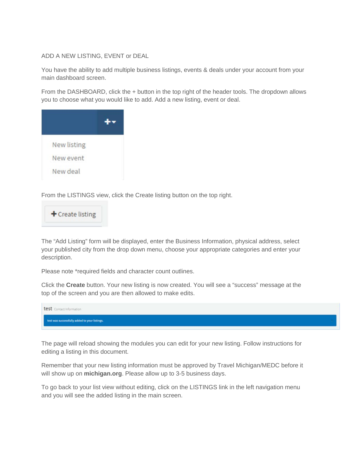#### ADD A NEW LISTING, EVENT or DEAL

You have the ability to add multiple business listings, events & deals under your account from your main dashboard screen.

From the DASHBOARD, click the + button in the top right of the header tools. The dropdown allows you to choose what you would like to add. Add a new listing, event or deal.

| New listing |  |
|-------------|--|
| New event   |  |
| New deal    |  |

From the LISTINGS view, click the Create listing button on the top right.



The "Add Listing" form will be displayed, enter the Business Information, physical address, select your published city from the drop down menu, choose your appropriate categories and enter your description.

Please note \*required fields and character count outlines.

Click the **Create** button. Your new listing is now created. You will see a "success" message at the top of the screen and you are then allowed to make edits.



The page will reload showing the modules you can edit for your new listing. Follow instructions for editing a listing in this document.

Remember that your new listing information must be approved by Travel Michigan/MEDC before it will show up on **[michigan.org](http://www.travelwyoming.com/)**. Please allow up to 3-5 business days.

To go back to your list view without editing, click on the LISTINGS link in the left navigation menu and you will see the added listing in the main screen.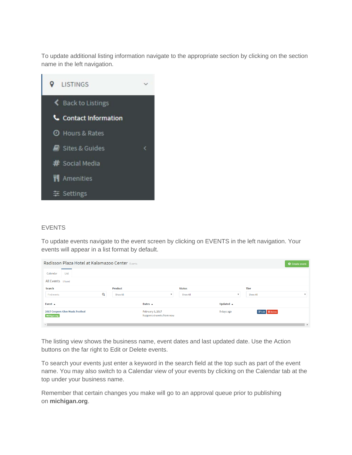To update additional listing information navigate to the appropriate section by clicking on the section name in the left navigation.



#### **EVENTS**

To update events navigate to the event screen by clicking on EVENTS in the left navigation. Your events will appear in a list format by default.

| Radisson Plaza Hotel at Kalamazoo Center Events  |                                              |                          |                     |                        | <b>O</b> Create event |
|--------------------------------------------------|----------------------------------------------|--------------------------|---------------------|------------------------|-----------------------|
| Calendar<br>List                                 |                                              |                          |                     |                        |                       |
| All Events 1 found                               |                                              |                          |                     |                        |                       |
| Search                                           | <b>Product</b>                               | <b>Status</b>            |                     | <b>Tier</b>            |                       |
| Q<br>Find events                                 | Show All                                     | $\mathbf{v}$<br>Show All | $\mathbf{v}$        | Show All               |                       |
| Event $\sim$                                     | Dates $\sim$                                 |                          | Updated $\triangle$ |                        |                       |
| 2017 Coopers Glen Music Festival<br>Michigan.org | February 3, 2017<br>happens 4 weeks from now |                          | 5 days ago          | <b>■ Edit</b> ■ Delete |                       |
|                                                  |                                              |                          |                     |                        | <b>b</b>              |

The listing view shows the business name, event dates and last updated date. Use the Action buttons on the far right to Edit or Delete events.

To search your events just enter a keyword in the search field at the top such as part of the event name. You may also switch to a Calendar view of your events by clicking on the Calendar tab at the top under your business name.

Remember that certain changes you make will go to an approval queue prior to publishing on **[michigan.org](http://www.travelwyoming.com/)**.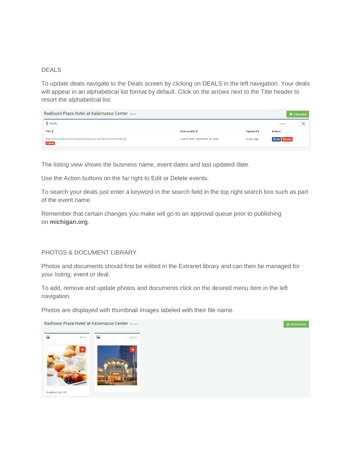#### DEALS

To update deals navigate to the Deals screen by clicking on DEALS in the left navigation. Your deals will appear in an alphabetical list format by default. Click on the arrows next to the Title header to resort the alphabetical list.

| Radisson Plaza Hotel at Kalamazoo Center Deals                                         |                                  |                      | <b>O</b> Create deal   |  |
|----------------------------------------------------------------------------------------|----------------------------------|----------------------|------------------------|--|
| \$ Deals                                                                               |                                  |                      | Search                 |  |
| <b>Title ≑</b>                                                                         | Redeemable $\spadesuit$          | Updated $\triangleq$ | <b>Actions</b>         |  |
| Stay at the Radisson Plaza Hotel Kalamazoo and Receive Free Parking!<br><b>Expired</b> | June 6, 2016 - December 30, 2016 | 4 days ago           | <b>■ Edit</b> ■ Delete |  |

The listing view shows the business name, event dates and last updated date.

Use the Action buttons on the far right to Edit or Delete events.

To search your deals just enter a keyword in the search field in the top right search box such as part of the event name.

Remember that certain changes you make will go to an approval queue prior to publishing on **[michigan.org](http://www.travelwyoming.com/)**.

### PHOTOS & DOCUMENT LIBRARY

Photos and documents should first be edited in the Extranet library and can then be managed for your listing, event or deal.

To add, remove and update photos and documents click on the desired menu item in the left navigation.

Photos are displayed with thumbnail images labeled with their file name.

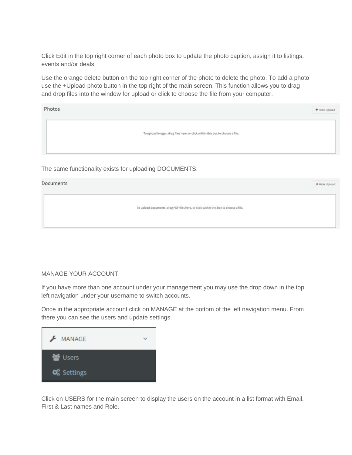Click Edit in the top right corner of each photo box to update the photo caption, assign it to listings, events and/or deals.

Use the orange delete button on the top right corner of the photo to delete the photo. To add a photo use the +Upload photo button in the top right of the main screen. This function allows you to drag and drop files into the window for upload or click to choose the file from your computer.

| Photos | + Hide Upload                                                                 |
|--------|-------------------------------------------------------------------------------|
|        | To upload images, drag files here, or click within this box to choose a file. |

The same functionality exists for uploading DOCUMENTS.

#### Documents

To upload documents, drag PDF files here, or click within this box to choose a file.

+ Hide Upload

#### MANAGE YOUR ACCOUNT

If you have more than one account under your management you may use the drop down in the top left navigation under your username to switch accounts.

Once in the appropriate account click on MANAGE at the bottom of the left navigation menu. From there you can see the users and update settings.



Click on USERS for the main screen to display the users on the account in a list format with Email, First & Last names and Role.